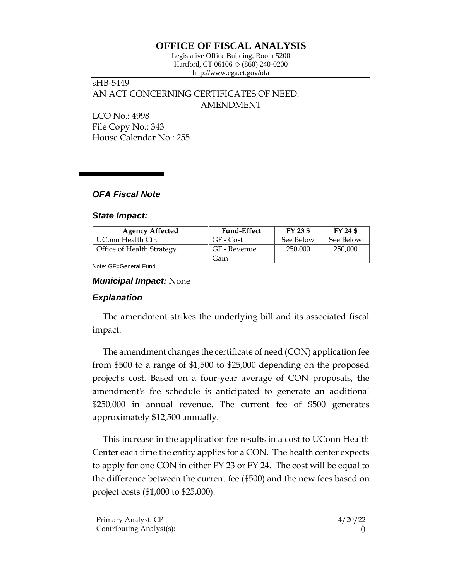## **OFFICE OF FISCAL ANALYSIS**

Legislative Office Building, Room 5200 Hartford, CT 06106  $\Diamond$  (860) 240-0200 http://www.cga.ct.gov/ofa

# sHB-5449 AN ACT CONCERNING CERTIFICATES OF NEED. AMENDMENT

LCO No.: 4998 File Copy No.: 343 House Calendar No.: 255

## *OFA Fiscal Note*

#### *State Impact:*

| <b>Agency Affected</b>    | <b>Fund-Effect</b> | FY 23 \$  | FY 24 \$  |
|---------------------------|--------------------|-----------|-----------|
| UConn Health Ctr.         | GF - Cost          | See Below | See Below |
| Office of Health Strategy | GF - Revenue       | 250.000   | 250,000   |
|                           | Gain               |           |           |

Note: GF=General Fund

#### *Municipal Impact:* None

## *Explanation*

The amendment strikes the underlying bill and its associated fiscal impact.

The amendment changes the certificate of need (CON) application fee from \$500 to a range of \$1,500 to \$25,000 depending on the proposed project's cost. Based on a four-year average of CON proposals, the amendment's fee schedule is anticipated to generate an additional \$250,000 in annual revenue. The current fee of \$500 generates approximately \$12,500 annually.

This increase in the application fee results in a cost to UConn Health Center each time the entity applies for a CON. The health center expects to apply for one CON in either FY 23 or FY 24. The cost will be equal to the difference between the current fee (\$500) and the new fees based on project costs (\$1,000 to \$25,000).